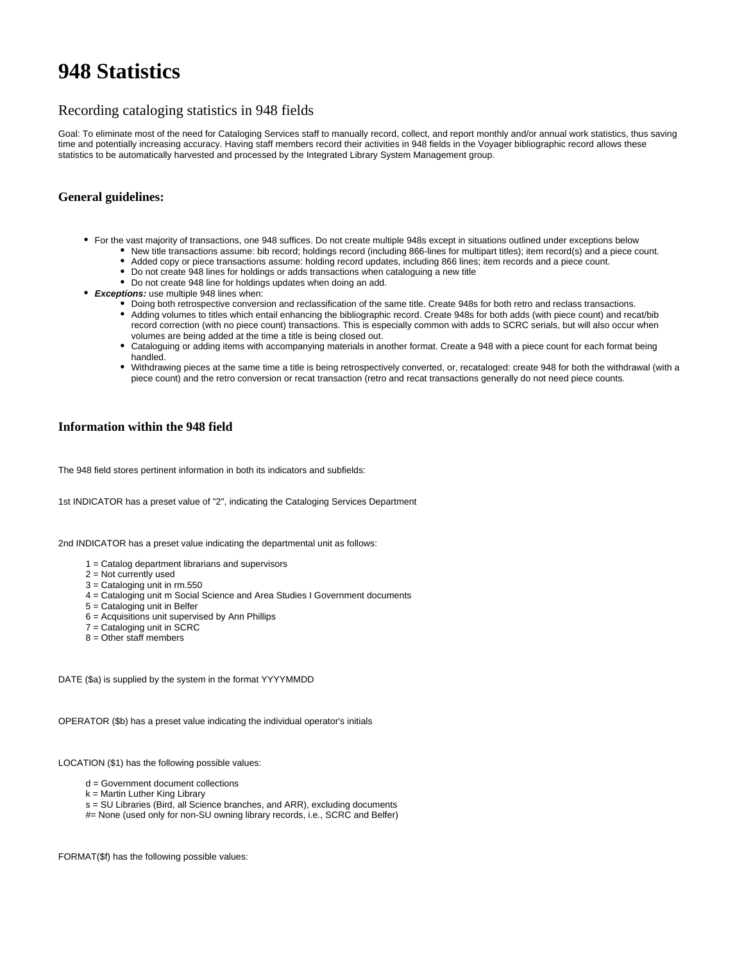# **948 Statistics**

## Recording cataloging statistics in 948 fields

Goal: To eliminate most of the need for Cataloging Services staff to manually record, collect, and report monthly and/or annual work statistics, thus saving time and potentially increasing accuracy. Having staff members record their activities in 948 fields in the Voyager bibliographic record allows these statistics to be automatically harvested and processed by the Integrated Library System Management group.

### **General guidelines:**

- For the vast majority of transactions, one 948 suffices. Do not create multiple 948s except in situations outlined under exceptions below New title transactions assume: bib record; holdings record (including 866-lines for multipart titles); item record(s) and a piece count.
	- Added copy or piece transactions assume: holding record updates, including 866 lines; item records and a piece count.
		- Do not create 948 lines for holdings or adds transactions when cataloguing a new title
		- Do not create 948 line for holdings updates when doing an add.
- **Exceptions:** use multiple 948 lines when:
	- Doing both retrospective conversion and reclassification of the same title. Create 948s for both retro and reclass transactions.
	- Adding volumes to titles which entail enhancing the bibliographic record. Create 948s for both adds (with piece count) and recat/bib record correction (with no piece count) transactions. This is especially common with adds to SCRC serials, but will also occur when volumes are being added at the time a title is being closed out.
	- Cataloguing or adding items with accompanying materials in another format. Create a 948 with a piece count for each format being handled.
	- Withdrawing pieces at the same time a title is being retrospectively converted, or, recataloged: create 948 for both the withdrawal (with a piece count) and the retro conversion or recat transaction (retro and recat transactions generally do not need piece counts.

#### **Information within the 948 field**

The 948 field stores pertinent information in both its indicators and subfields:

1st INDICATOR has a preset value of "2", indicating the Cataloging Services Department

2nd INDICATOR has a preset value indicating the departmental unit as follows:

- 1 = Catalog department librarians and supervisors
- 2 = Not currently used
- 3 = Cataloging unit in rm.550
- 4 = Cataloging unit m Social Science and Area Studies I Government documents
- 5 = Cataloging unit in Belfer
- 6 = Acquisitions unit supervised by Ann Phillips
- 7 = Cataloging unit in SCRC
- 8 = Other staff members

DATE (\$a) is supplied by the system in the format YYYYMMDD

OPERATOR (\$b) has a preset value indicating the individual operator's initials

LOCATION (\$1) has the following possible values:

- d = Government document collections
- k = Martin Luther King Library
- s = SU Libraries (Bird, all Science branches, and ARR), excluding documents
- #= None (used only for non-SU owning library records, i.e., SCRC and Belfer)

FORMAT(\$f) has the following possible values: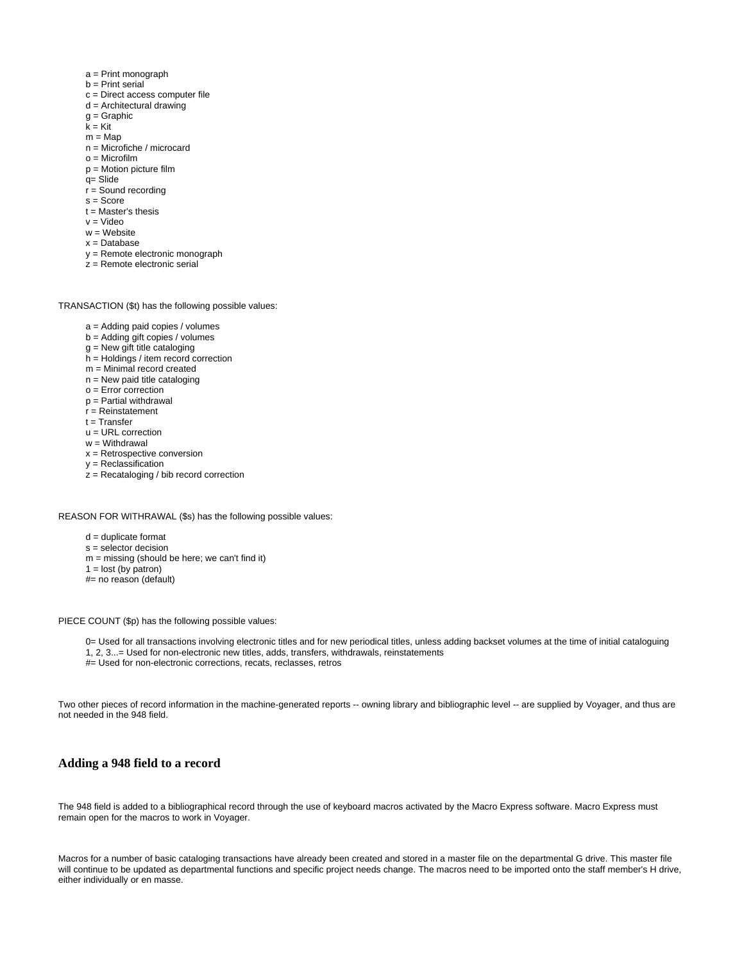- a = Print monograph
- b = Print serial
- c = Direct access computer file
- d = Architectural drawing
- g = Graphic
- k = Kit
- $m = Map$
- n = Microfiche / microcard
- $o =$ Microfilm
- p = Motion picture film
- q= Slide
- $r =$  Sound recording
- s = Score
- $t = Master's$  thesis
- v = Video
- $w =$ Website
- x = Database
- y = Remote electronic monograph  $z =$  Remote electronic serial
- 

TRANSACTION (\$t) has the following possible values:

- a = Adding paid copies / volumes
- b = Adding gift copies / volumes
- g = New gift title cataloging
- h = Holdings / item record correction
- m = Minimal record created
- n = New paid title cataloging
- $o =$  Error correction
- p = Partial withdrawal
- r = Reinstatement
- $t =$ Transfer
- u = URL correction
- w = Withdrawal
- x = Retrospective conversion
- y = Reclassification
- $z =$  Recataloging / bib record correction

REASON FOR WITHRAWAL (\$s) has the following possible values:

- d = duplicate format
- s = selector decision
- $m =$  missing (should be here; we can't find it)
- $1 =$  lost (by patron)
- #= no reason (default)

PIECE COUNT (\$p) has the following possible values:

0= Used for all transactions involving electronic titles and for new periodical titles, unless adding backset volumes at the time of initial cataloguing 1, 2, 3...= Used for non-electronic new titles, adds, transfers, withdrawals, reinstatements

#= Used for non-electronic corrections, recats, reclasses, retros

Two other pieces of record information in the machine-generated reports -- owning library and bibliographic level -- are supplied by Voyager, and thus are not needed in the 948 field.

#### **Adding a 948 field to a record**

The 948 field is added to a bibliographical record through the use of keyboard macros activated by the Macro Express software. Macro Express must remain open for the macros to work in Voyager.

Macros for a number of basic cataloging transactions have already been created and stored in a master file on the departmental G drive. This master file will continue to be updated as departmental functions and specific project needs change. The macros need to be imported onto the staff member's H drive, either individually or en masse.